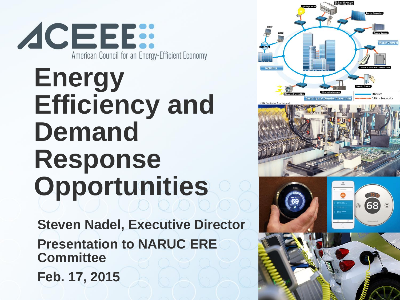

# **Energy Efficiency and Demand Response Opportunities**

**Steven Nadel, Executive Director Presentation to NARUC ERE Committee Feb. 17, 2015**





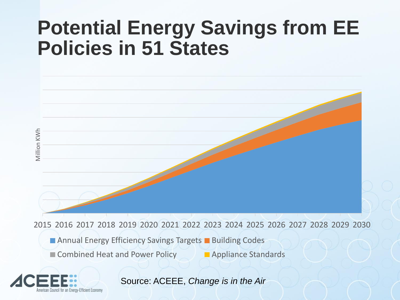#### **Potential Energy Savings from EE Policies in 51 States**



ENERGY 2015 2016 2017 2018 2019 2020 2021 2022 2023 2024 2025 2026 2027 2028 2029 2030

**Annual Energy Efficiency Savings Targets Building Codes** 

■ Combined Heat and Power Policy Appliance Standards



Source: ACEEE, *Change is in the Air*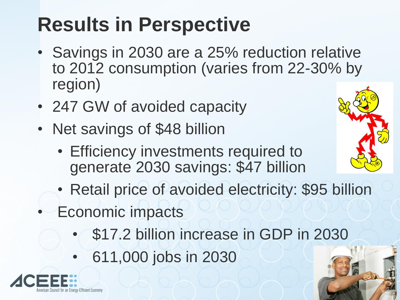# **Results in Perspective**

- Savings in 2030 are a 25% reduction relative to 2012 consumption (varies from 22-30% by region)
- 247 GW of avoided capacity
- Net savings of \$48 billion
	- Efficiency investments required to generate 2030 savings: \$47 billion
	- Retail price of avoided electricity: \$95 billion
	- Economic impacts
		- \$17.2 billion increase in GDP in 2030
		- 611,000 jobs in 2030



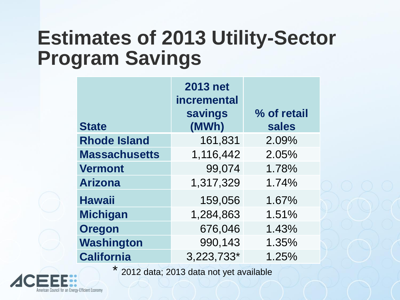#### **Estimates of 2013 Utility-Sector Program Savings**

| <b>State</b>         | <b>2013 net</b><br>incremental<br>savings<br>(MWh) | % of retail<br>sales |
|----------------------|----------------------------------------------------|----------------------|
| <b>Rhode Island</b>  | 161,831                                            | 2.09%                |
| <b>Massachusetts</b> | 1,116,442                                          | 2.05%                |
| <b>Vermont</b>       | 99,074                                             | 1.78%                |
| <b>Arizona</b>       | 1,317,329                                          | 1.74%                |
| <b>Hawaii</b>        | 159,056                                            | 1.67%                |
| <b>Michigan</b>      | 1,284,863                                          | 1.51%                |
| <b>Oregon</b>        | 676,046                                            | 1.43%                |
| Washington           | 990,143                                            | 1.35%                |
| <b>California</b>    | 3,223,733*                                         | 1.25%                |

\* 2012 data; 2013 data not yet available

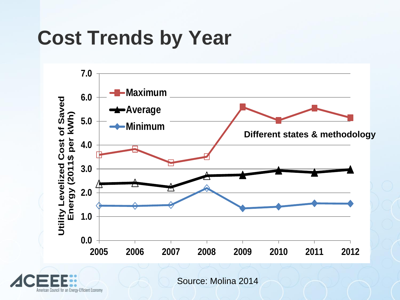### **Cost Trends by Year**



American Council for an Energy-Efficient Economy

Source: Molina 2014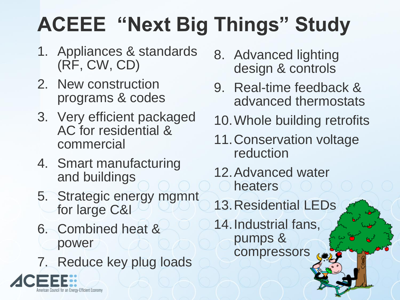# **ACEEE "Next Big Things" Study**

- 1. Appliances & standards (RF, CW, CD)
- 2. New construction programs & codes
- 3. Very efficient packaged AC for residential & commercial
- 4. Smart manufacturing and buildings
- 5. Strategic energy mgmnt for large C&I
- 6. Combined heat & power

uncil for an Enerov-Efficient Economy

7. Reduce key plug loads

- 8. Advanced lighting design & controls
- 9. Real-time feedback & advanced thermostats
- 10.Whole building retrofits
- 11.Conservation voltage reduction
- 12.Advanced water heaters
- 13.Residential LEDs
- 14.Industrial fans, pumps & compressors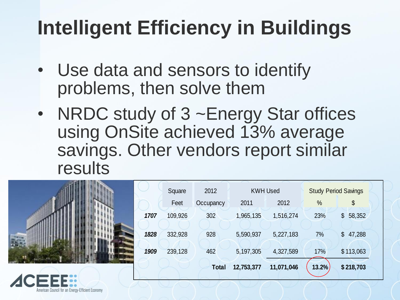# **Intelligent Efficiency in Buildings**

- Use data and sensors to identify problems, then solve them
- NRDC study of 3 ~Energy Star offices using OnSite achieved 13% average savings. Other vendors report similar results

|      | Square  | 2012      | <b>KWH Used</b> |            | <b>Study Period Savings</b> |           |  |
|------|---------|-----------|-----------------|------------|-----------------------------|-----------|--|
|      | Feet    | Occupancy | 2011            | 2012       | %                           | \$        |  |
| 1707 | 109,926 | 302       | 1,965,135       | 1,516,274  | 23%                         | \$58,352  |  |
| 1828 | 332,928 | 928       | 5,590,937       | 5,227,183  | 7%                          | \$47,288  |  |
| 1909 | 239,128 | 462       | 5,197,305       | 4,327,589  | 17%                         | \$113,063 |  |
|      |         | Total     | 12,753,377      | 11,071,046 | 13.2%                       | \$218,703 |  |

American Council for an Enerov-Efficient Economy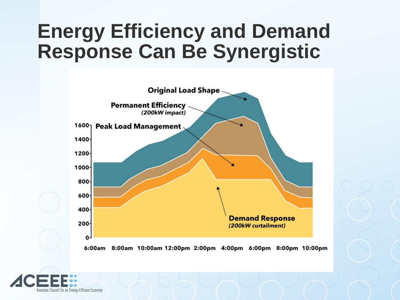#### **Energy Efficiency and Demand Response Can Be Synergistic**



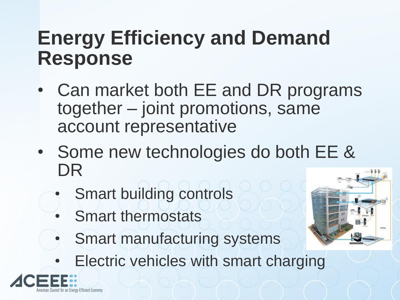#### **Energy Efficiency and Demand Response**

- Can market both EE and DR programs together – joint promotions, same account representative
- Some new technologies do both EE & DR
	- Smart building controls
	- Smart thermostats
	- Smart manufacturing systems
	- **Electric vehicles with smart charging**



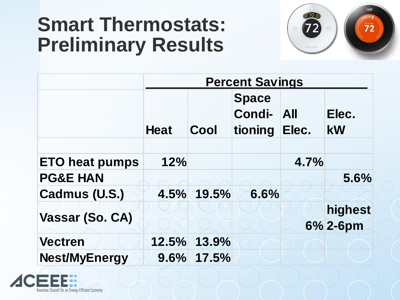#### **Smart Thermostats: Preliminary Results**



|                       | <b>Percent Savings</b> |       |                                   |                     |             |  |  |  |
|-----------------------|------------------------|-------|-----------------------------------|---------------------|-------------|--|--|--|
|                       | <b>Heat</b>            | Cool  | <b>Space</b><br>Condi-<br>tioning | <b>All</b><br>Elec. | Elec.<br>kW |  |  |  |
|                       |                        |       |                                   |                     |             |  |  |  |
| <b>ETO heat pumps</b> | 12%                    |       |                                   | 4.7%                |             |  |  |  |
| <b>PG&amp;E HAN</b>   |                        |       |                                   |                     | 5.6%        |  |  |  |
| Cadmus (U.S.)         | 4.5%                   | 19.5% | 6.6%                              |                     |             |  |  |  |
| Vassar (So. CA)       |                        |       |                                   |                     | highest     |  |  |  |
|                       |                        |       |                                   |                     | 6% 2-6pm    |  |  |  |
| <b>Vectren</b>        | 12.5%                  | 13.9% |                                   |                     |             |  |  |  |
| <b>Nest/MyEnergy</b>  | 9.6%                   | 17.5% |                                   |                     |             |  |  |  |

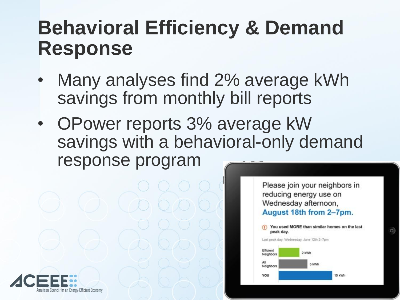#### **Behavioral Efficiency & Demand Response**

- Many analyses find 2% average kWh savings from monthly bill reports
- OPower reports 3% average kW savings with a behavioral-only demand response program

Please join your neighbors in reducing energy use on Wednesday afternoon, August 18th from 2-7pm.



 $\cup$ 

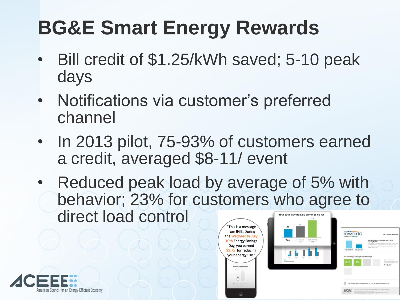# **BG&E Smart Energy Rewards**

- Bill credit of \$1.25/kWh saved; 5-10 peak days
- Notifications via customer's preferred channel
- In 2013 pilot, 75-93% of customers earned a credit, averaged \$8-11/ event
- Reduced peak load by average of 5% with behavior; 23% for customers who agree to direct load control





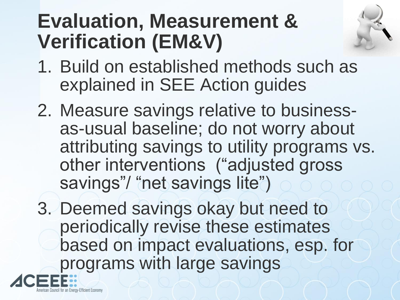### **Evaluation, Measurement & Verification (EM&V)**



- 1. Build on established methods such as explained in SEE Action guides
- 2. Measure savings relative to businessas-usual baseline; do not worry about attributing savings to utility programs vs. other interventions ("adjusted gross savings"/ "net savings lite")
- 3. Deemed savings okay but need to periodically revise these estimates based on impact evaluations, esp. for programs with large savings

an Energy-Efficient Economy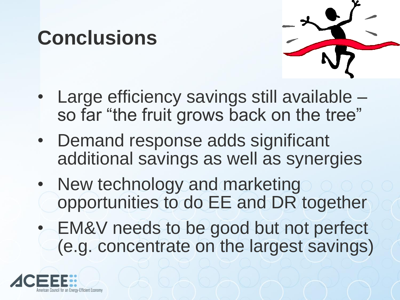# **Conclusions**



- Large efficiency savings still available so far "the fruit grows back on the tree"
- Demand response adds significant additional savings as well as synergies
- New technology and marketing opportunities to do EE and DR together
- EM&V needs to be good but not perfect (e.g. concentrate on the largest savings)

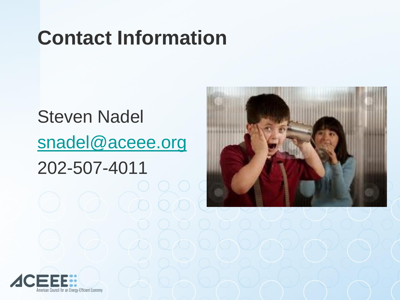# **Contact Information**

#### Steven Nadel [snadel@aceee.org](mailto:snadel@aceee.org) 202-507-4011

 $0000$